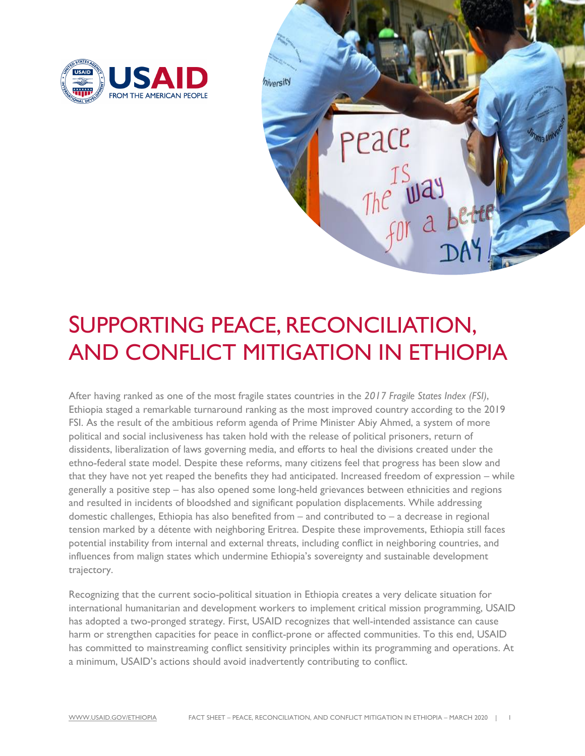



## SUPPORTING PEACE, RECONCILIATION, AND CONFLICT MITIGATION IN ETHIOPIA

 After having ranked as one of the most fragile states countries in the *2017 Fragile States Index (FSI)*, FSI. As the result of the ambitious reform agenda of Prime Minister Abiy Ahmed, a system of more political and social inclusiveness has taken hold with the release of political prisoners, return of dissidents, liberalization of laws governing media, and efforts to heal the divisions created under the and resulted in incidents of bloodshed and significant population displacements. While addressing domestic challenges, Ethiopia has also benefited from – and contributed to – a decrease in regional potential instability from internal and external threats, including conflict in neighboring countries, and influences from malign states which undermine Ethiopia's sovereignty and sustainable development Ethiopia staged a remarkable turnaround ranking as the most improved country according to the 2019 ethno-federal state model. Despite these reforms, many citizens feel that progress has been slow and that they have not yet reaped the benefits they had anticipated. Increased freedom of expression – while generally a positive step – has also opened some long-held grievances between ethnicities and regions tension marked by a détente with neighboring Eritrea. Despite these improvements, Ethiopia still faces trajectory.

 international humanitarian and development workers to implement critical mission programming, USAID has adopted a two-pronged strategy. First, USAID recognizes that well-intended assistance can cause harm or strengthen capacities for peace in conflict-prone or affected communities. To this end, USAID Recognizing that the current socio-political situation in Ethiopia creates a very delicate situation for has committed to mainstreaming conflict sensitivity principles within its programming and operations. At a minimum, USAID's actions should avoid inadvertently contributing to conflict.